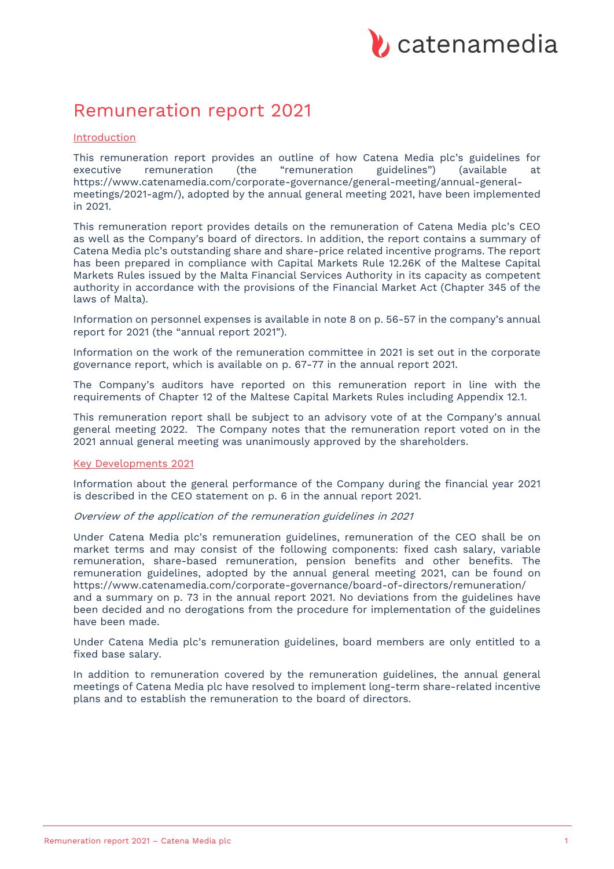

# Remuneration report 2021

## **Introduction**

This remuneration report provides an outline of how Catena Media plc's guidelines for executive remuneration (the "remuneration guidelines") (available at https://www.catenamedia.com/corporate-governance/general-meeting/annual-generalmeetings/2021-agm/), adopted by the annual general meeting 2021, have been implemented in 2021.

This remuneration report provides details on the remuneration of Catena Media plc's CEO as well as the Company's board of directors. In addition, the report contains a summary of Catena Media plc's outstanding share and share-price related incentive programs. The report has been prepared in compliance with Capital Markets Rule 12.26K of the Maltese Capital Markets Rules issued by the Malta Financial Services Authority in its capacity as competent authority in accordance with the provisions of the Financial Market Act (Chapter 345 of the laws of Malta).

Information on personnel expenses is available in note 8 on p. 56-57 in the company's annual report for 2021 (the "annual report 2021").

Information on the work of the remuneration committee in 2021 is set out in the corporate governance report, which is available on p. 67-77 in the annual report 2021.

The Company's auditors have reported on this remuneration report in line with the requirements of Chapter 12 of the Maltese Capital Markets Rules including Appendix 12.1.

This remuneration report shall be subject to an advisory vote of at the Company's annual general meeting 2022. The Company notes that the remuneration report voted on in the 2021 annual general meeting was unanimously approved by the shareholders.

## Key Developments 2021

Information about the general performance of the Company during the financial year 2021 is described in the CEO statement on p. 6 in the annual report 2021.

Overview of the application of the remuneration guidelines in 2021

Under Catena Media plc's remuneration guidelines, remuneration of the CEO shall be on market terms and may consist of the following components: fixed cash salary, variable remuneration, share-based remuneration, pension benefits and other benefits. The remuneration guidelines, adopted by the annual general meeting 2021, can be found on https://www.catenamedia.com/corporate-governance/board-of-directors/remuneration/ and a summary on p. 73 in the annual report 2021. No deviations from the guidelines have been decided and no derogations from the procedure for implementation of the guidelines have been made.

Under Catena Media plc's remuneration guidelines, board members are only entitled to a fixed base salary.

In addition to remuneration covered by the remuneration guidelines, the annual general meetings of Catena Media plc have resolved to implement long-term share-related incentive plans and to establish the remuneration to the board of directors.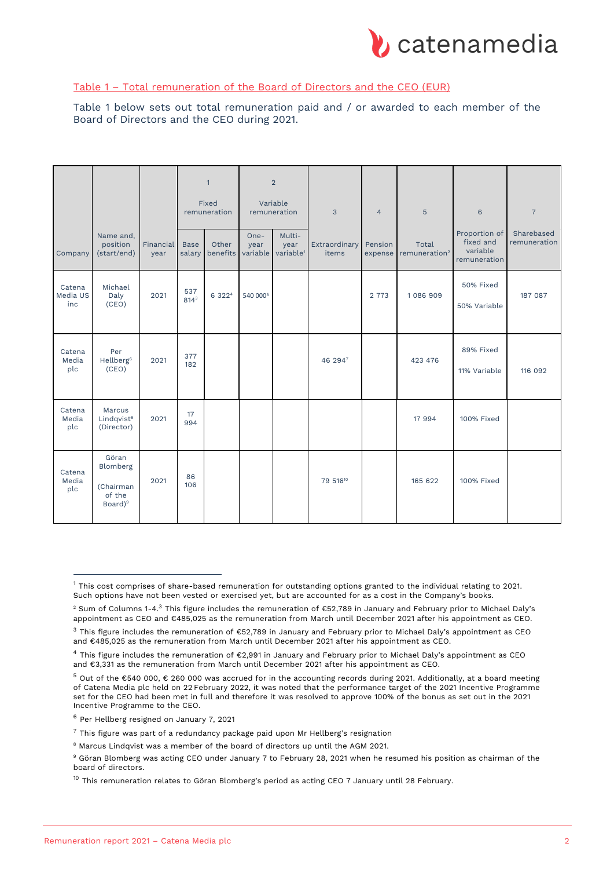

# Table 1 – Total remuneration of the Board of Directors and the CEO (EUR)

Table 1 below sets out total remuneration paid and / or awarded to each member of the Board of Directors and the CEO during 2021.

|                           |                                                                 |                   |                         | $\mathbf{1}$<br>Fixed<br>remuneration |                            | $\sqrt{2}$<br>Variable<br>remuneration  | 3                      | $\overline{4}$     | 5                                  | 6                                                      | $\overline{7}$             |
|---------------------------|-----------------------------------------------------------------|-------------------|-------------------------|---------------------------------------|----------------------------|-----------------------------------------|------------------------|--------------------|------------------------------------|--------------------------------------------------------|----------------------------|
| Company                   | Name and,<br>position<br>(start/end)                            | Financial<br>year | <b>Base</b><br>salary   | Other<br>benefits                     | $One-$<br>year<br>variable | Multi-<br>year<br>variable <sup>1</sup> | Extraordinary<br>items | Pension<br>expense | Total<br>remuneration <sup>2</sup> | Proportion of<br>fixed and<br>variable<br>remuneration | Sharebased<br>remuneration |
| Catena<br>Media US<br>inc | Michael<br>Daly<br>(CEO)                                        | 2021              | 537<br>814 <sup>3</sup> | 6 3 2 2 4                             | 540 0005                   |                                         |                        | 2 7 7 3            | 1086909                            | 50% Fixed<br>50% Variable                              | 187 087                    |
| Catena<br>Media<br>plc    | Per<br>Hellberg <sup>6</sup><br>(CEO)                           | 2021              | 377<br>182              |                                       |                            |                                         | 46 2947                |                    | 423 476                            | 89% Fixed<br>11% Variable                              | 116 092                    |
| Catena<br>Media<br>plc    | Marcus<br>Lindqvist <sup>8</sup><br>(Director)                  | 2021              | 17<br>994               |                                       |                            |                                         |                        |                    | 17 994                             | 100% Fixed                                             |                            |
| Catena<br>Media<br>plc    | Göran<br>Blomberg<br>(Chairman<br>of the<br>Board) <sup>9</sup> | 2021              | 86<br>106               |                                       |                            |                                         | 79 51610               |                    | 165 622                            | 100% Fixed                                             |                            |

 $1$  This cost comprises of share-based remuneration for outstanding options granted to the individual relating to 2021. Such options have not been vested or exercised yet, but are accounted for as a cost in the Company's books.

<sup>2</sup> Sum of Columns 1-4.3 This figure includes the remuneration of €52,789 in January and February prior to Michael Daly's appointment as CEO and €485,025 as the remuneration from March until December 2021 after his appointment as CEO.

<sup>&</sup>lt;sup>3</sup> This figure includes the remuneration of €52,789 in January and February prior to Michael Daly's appointment as CEO and €485,025 as the remuneration from March until December 2021 after his appointment as CEO.

<sup>4</sup> This figure includes the remuneration of €2,991 in January and February prior to Michael Daly's appointment as CEO and €3,331 as the remuneration from March until December 2021 after his appointment as CEO.

<sup>5</sup> Out of the €540 000, € 260 000 was accrued for in the accounting records during 2021. Additionally, at a board meeting of Catena Media plc held on 22 February 2022, it was noted that the performance target of the 2021 Incentive Programme set for the CEO had been met in full and therefore it was resolved to approve 100% of the bonus as set out in the 2021 Incentive Programme to the CEO.

<sup>6</sup> Per Hellberg resigned on January 7, 2021

 $7$  This figure was part of a redundancy package paid upon Mr Hellberg's resignation

<sup>8</sup> Marcus Lindqvist was a member of the board of directors up until the AGM 2021.

<sup>9</sup> Göran Blomberg was acting CEO under January 7 to February 28, 2021 when he resumed his position as chairman of the board of directors.

 $10$  This remuneration relates to Göran Blomberg's period as acting CEO 7 January until 28 February.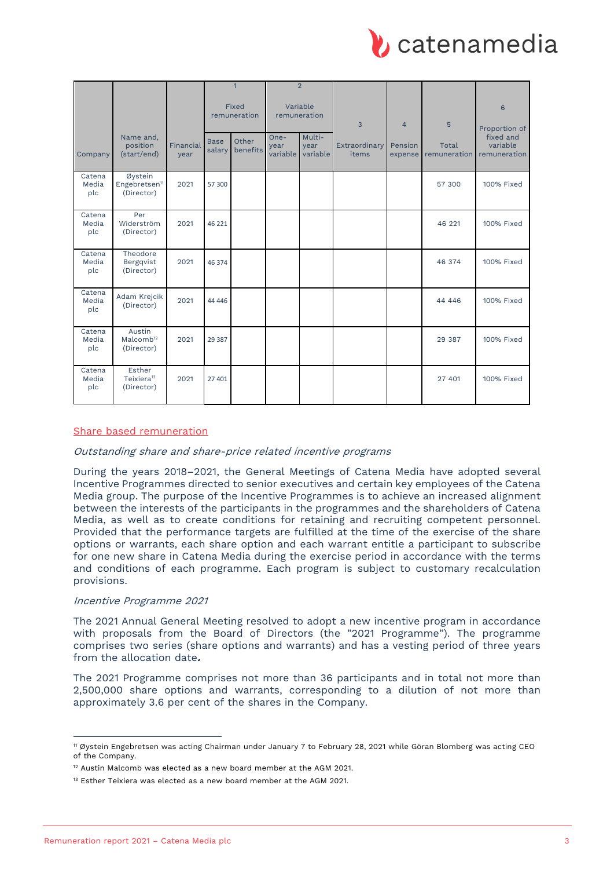

|                        |                                                    |                   | $\mathbf{1}$          |                   | $\overline{2}$           |                            |                        |                    |                       |                                       |
|------------------------|----------------------------------------------------|-------------------|-----------------------|-------------------|--------------------------|----------------------------|------------------------|--------------------|-----------------------|---------------------------------------|
|                        |                                                    |                   | Fixed<br>remuneration |                   | Variable<br>remuneration |                            | 3                      | $\overline{4}$     | 5                     | 6<br>Proportion of                    |
| Company                | Name and,<br>position<br>(start/end)               | Financial<br>year | <b>Base</b><br>salary | Other<br>benefits | One-<br>year<br>variable | Multi-<br>year<br>variable | Extraordinary<br>items | Pension<br>expense | Total<br>remuneration | fixed and<br>variable<br>remuneration |
| Catena<br>Media<br>plc | Øystein<br>Engebretsen <sup>11</sup><br>(Director) | 2021              | 57 300                |                   |                          |                            |                        |                    | 57 300                | 100% Fixed                            |
| Catena<br>Media<br>plc | Per<br>Widerström<br>(Director)                    | 2021              | 46 221                |                   |                          |                            |                        |                    | 46 221                | 100% Fixed                            |
| Catena<br>Media<br>plc | Theodore<br>Bergqvist<br>(Director)                | 2021              | 46 374                |                   |                          |                            |                        |                    | 46 374                | 100% Fixed                            |
| Catena<br>Media<br>plc | Adam Krejcik<br>(Director)                         | 2021              | 44 4 4 6              |                   |                          |                            |                        |                    | 44 4 4 6              | 100% Fixed                            |
| Catena<br>Media<br>plc | Austin<br>Malcomb <sup>12</sup><br>(Director)      | 2021              | 29 3 8 7              |                   |                          |                            |                        |                    | 29 387                | 100% Fixed                            |
| Catena<br>Media<br>plc | Esther<br>Teixiera <sup>13</sup><br>(Director)     | 2021              | 27 401                |                   |                          |                            |                        |                    | 27 401                | 100% Fixed                            |

## Share based remuneration

## Outstanding share and share-price related incentive programs

During the years 2018–2021, the General Meetings of Catena Media have adopted several Incentive Programmes directed to senior executives and certain key employees of the Catena Media group. The purpose of the Incentive Programmes is to achieve an increased alignment between the interests of the participants in the programmes and the shareholders of Catena Media, as well as to create conditions for retaining and recruiting competent personnel. Provided that the performance targets are fulfilled at the time of the exercise of the share options or warrants, each share option and each warrant entitle a participant to subscribe for one new share in Catena Media during the exercise period in accordance with the terms and conditions of each programme. Each program is subject to customary recalculation provisions.

## Incentive Programme 2021

The 2021 Annual General Meeting resolved to adopt a new incentive program in accordance with proposals from the Board of Directors (the "2021 Programme"). The programme comprises two series (share options and warrants) and has a vesting period of three years from the allocation date**.**

The 2021 Programme comprises not more than 36 participants and in total not more than 2,500,000 share options and warrants, corresponding to a dilution of not more than approximately 3.6 per cent of the shares in the Company.

<sup>11</sup> Øystein Engebretsen was acting Chairman under January 7 to February 28, 2021 while Göran Blomberg was acting CEO of the Company.

<sup>12</sup> Austin Malcomb was elected as a new board member at the AGM 2021.

<sup>&</sup>lt;sup>13</sup> Esther Teixiera was elected as a new board member at the AGM 2021.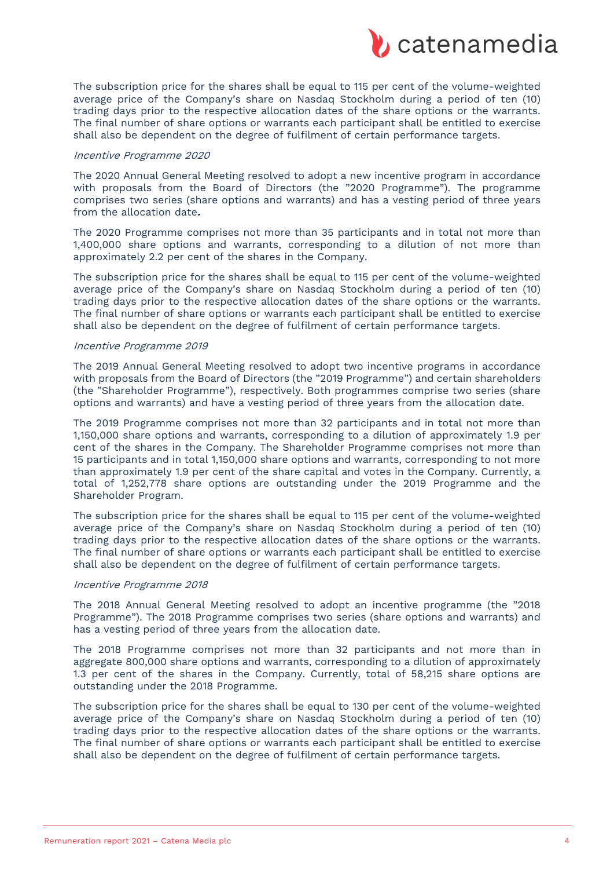

The subscription price for the shares shall be equal to 115 per cent of the volume-weighted average price of the Company's share on Nasdaq Stockholm during a period of ten (10) trading days prior to the respective allocation dates of the share options or the warrants. The final number of share options or warrants each participant shall be entitled to exercise shall also be dependent on the degree of fulfilment of certain performance targets.

#### Incentive Programme 2020

The 2020 Annual General Meeting resolved to adopt a new incentive program in accordance with proposals from the Board of Directors (the "2020 Programme"). The programme comprises two series (share options and warrants) and has a vesting period of three years from the allocation date**.**

The 2020 Programme comprises not more than 35 participants and in total not more than 1,400,000 share options and warrants, corresponding to a dilution of not more than approximately 2.2 per cent of the shares in the Company.

The subscription price for the shares shall be equal to 115 per cent of the volume-weighted average price of the Company's share on Nasdaq Stockholm during a period of ten (10) trading days prior to the respective allocation dates of the share options or the warrants. The final number of share options or warrants each participant shall be entitled to exercise shall also be dependent on the degree of fulfilment of certain performance targets.

#### Incentive Programme 2019

The 2019 Annual General Meeting resolved to adopt two incentive programs in accordance with proposals from the Board of Directors (the "2019 Programme") and certain shareholders (the "Shareholder Programme"), respectively. Both programmes comprise two series (share options and warrants) and have a vesting period of three years from the allocation date.

The 2019 Programme comprises not more than 32 participants and in total not more than 1,150,000 share options and warrants, corresponding to a dilution of approximately 1.9 per cent of the shares in the Company. The Shareholder Programme comprises not more than 15 participants and in total 1,150,000 share options and warrants, corresponding to not more than approximately 1.9 per cent of the share capital and votes in the Company. Currently, a total of 1,252,778 share options are outstanding under the 2019 Programme and the Shareholder Program.

The subscription price for the shares shall be equal to 115 per cent of the volume-weighted average price of the Company's share on Nasdaq Stockholm during a period of ten (10) trading days prior to the respective allocation dates of the share options or the warrants. The final number of share options or warrants each participant shall be entitled to exercise shall also be dependent on the degree of fulfilment of certain performance targets.

#### Incentive Programme 2018

The 2018 Annual General Meeting resolved to adopt an incentive programme (the "2018 Programme"). The 2018 Programme comprises two series (share options and warrants) and has a vesting period of three years from the allocation date.

The 2018 Programme comprises not more than 32 participants and not more than in aggregate 800,000 share options and warrants, corresponding to a dilution of approximately 1.3 per cent of the shares in the Company. Currently, total of 58,215 share options are outstanding under the 2018 Programme.

The subscription price for the shares shall be equal to 130 per cent of the volume-weighted average price of the Company's share on Nasdaq Stockholm during a period of ten (10) trading days prior to the respective allocation dates of the share options or the warrants. The final number of share options or warrants each participant shall be entitled to exercise shall also be dependent on the degree of fulfilment of certain performance targets.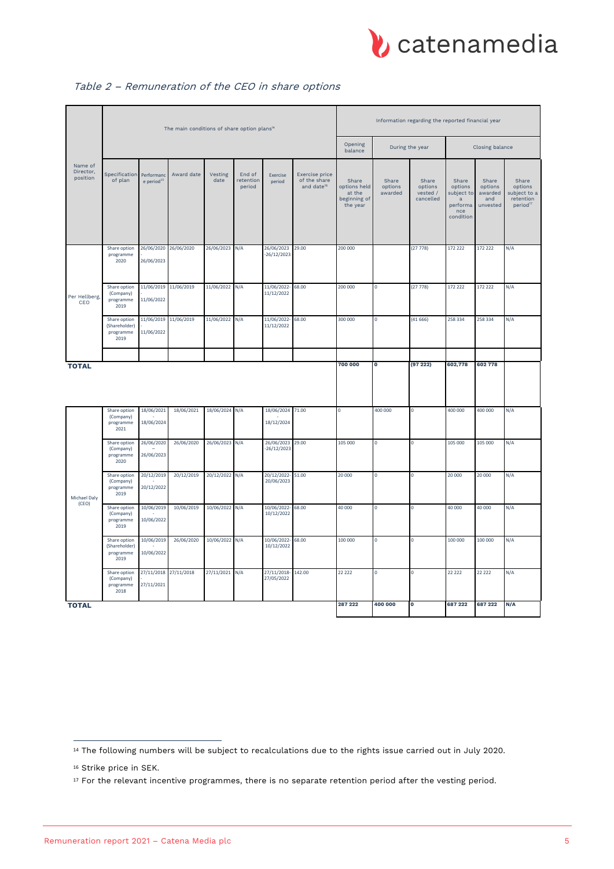

|                                  | The main conditions of share option plans <sup>14</sup> |                             |                       |                 |                               |                                   |                                                          |                                                             | Information regarding the reported financial year |                                           |                                                                     |                                                |                                                                       |  |
|----------------------------------|---------------------------------------------------------|-----------------------------|-----------------------|-----------------|-------------------------------|-----------------------------------|----------------------------------------------------------|-------------------------------------------------------------|---------------------------------------------------|-------------------------------------------|---------------------------------------------------------------------|------------------------------------------------|-----------------------------------------------------------------------|--|
|                                  |                                                         |                             |                       |                 |                               |                                   | Opening<br>balance                                       | During the year                                             |                                                   | Closing balance                           |                                                                     |                                                |                                                                       |  |
| Name of<br>Director,<br>position | Specification<br>of plan                                | Performanc<br>e period $15$ | Award date            | Vesting<br>date | End of<br>retention<br>period | Exercise<br>period                | Exercise price<br>of the share<br>and date <sup>16</sup> | Share<br>options held<br>at the<br>beginning of<br>the year | Share<br>options<br>awarded                       | Share<br>options<br>vested /<br>cancelled | Share<br>options<br>subject to<br>a<br>performa<br>nce<br>condition | Share<br>options<br>awarded<br>and<br>unvested | Share<br>options<br>subject to a<br>retention<br>period <sup>17</sup> |  |
| Per Hellberg,<br>CEO             | Share option<br>programme<br>2020                       | 26/06/2023                  | 26/06/2020 26/06/2020 | 26/06/2023      | N/A                           | 26/06/2023<br>$-26/12/2023$       | 29.00                                                    | 200 000                                                     |                                                   | (27778)                                   | 172 222                                                             | 172 222                                        | N/A                                                                   |  |
|                                  | Share option<br>(Company)<br>programme<br>2019          | 11/06/2022                  | 11/06/2019 11/06/2019 | 11/06/2022      | N/A                           | 11/06/2022-<br>11/12/2022         | 68.00                                                    | 200 000                                                     | $\mathbf 0$                                       | (27778)                                   | 172 222                                                             | 172 222                                        | N/A                                                                   |  |
|                                  | Share option<br>(Shareholder)<br>programme<br>2019      | 11/06/2022                  | 11/06/2019 11/06/2019 | 11/06/2022 N/A  |                               | 11/06/2022-<br>11/12/2022         | 68.00                                                    | 300 000                                                     | $\pmb{0}$                                         | (41666)                                   | 258 334                                                             | 258 334                                        | N/A                                                                   |  |
|                                  |                                                         |                             |                       |                 |                               |                                   |                                                          | 700 000                                                     | 0                                                 | (9722)                                    | 602,778                                                             | 602 778                                        |                                                                       |  |
| <b>TOTAL</b>                     | Share option                                            | 18/06/2021                  | 18/06/2021            | 18/06/2024      | N/A                           | 18/06/2024 71.00                  |                                                          | $\mathbf 0$                                                 | 400 000                                           | $\mathsf{O}\xspace$                       | 400 000                                                             | 400 000                                        | N/A                                                                   |  |
|                                  | (Company)<br>programme<br>2021                          | 18/06/2024                  |                       |                 |                               | 18/12/2024                        |                                                          |                                                             |                                                   |                                           |                                                                     |                                                |                                                                       |  |
|                                  | Share option<br>(Company)<br>programme<br>2020          | 26/06/2020<br>26/06/2023    | 26/06/2020            | 26/06/2023 N/A  |                               | 26/06/2023 29.00<br>$-26/12/2023$ |                                                          | 105 000                                                     | $\mathsf 0$                                       | $\pmb{0}$                                 | 105 000                                                             | 105 000                                        | N/A                                                                   |  |
| Michael Daly<br>(CEO)            | Share option<br>(Company)<br>programme<br>2019          | 20/12/2019<br>20/12/2022    | 20/12/2019            | 20/12/2022 N/A  |                               | 20/12/2022-<br>20/06/2023         | 51.00                                                    | 20 000                                                      | $\mathbf 0$                                       | $\pmb{0}$                                 | 20 000                                                              | 20 000                                         | N/A                                                                   |  |
|                                  | Share option<br>(Company)<br>programme<br>2019          | 10/06/2019<br>10/06/2022    | 10/06/2019            | 10/06/2022 N/A  |                               | 10/06/2022-<br>10/12/2022         | 68.00                                                    | 40 000                                                      | $\mathsf 0$                                       | $\mathbf 0$                               | 40 000                                                              | 40 000                                         | N/A                                                                   |  |
|                                  | Share option<br>(Shareholder)<br>programme<br>2019      | 10/06/2019<br>10/06/2022    | 26/06/2020            | 10/06/2022 N/A  |                               | 10/06/2022-<br>10/12/2022         | 68.00                                                    | 100 000                                                     | 0                                                 | $\pmb{0}$                                 | 100 000                                                             | 100 000                                        | N/A                                                                   |  |
|                                  | Share option<br>(Company)<br>programme<br>2018          | 27/11/2021                  | 27/11/2018 27/11/2018 | 27/11/2021 N/A  |                               | 27/11/2018-<br>27/05/2022         | 142.00                                                   | 22 2 2 2                                                    | 0                                                 | $\mathbf 0$                               | 22 22 2                                                             | 22 2 2 2                                       | N/A                                                                   |  |
| <b>TOTAL</b>                     |                                                         |                             |                       |                 |                               |                                   |                                                          | 287 222                                                     | 400 000                                           | ō                                         | 687 222                                                             | 687 222                                        | N/A                                                                   |  |

# Table 2 – Remuneration of the CEO in share options

<sup>14</sup> The following numbers will be subject to recalculations due to the rights issue carried out in July 2020.

<sup>&</sup>lt;sup>16</sup> Strike price in SEK.

<sup>&</sup>lt;sup>17</sup> For the relevant incentive programmes, there is no separate retention period after the vesting period.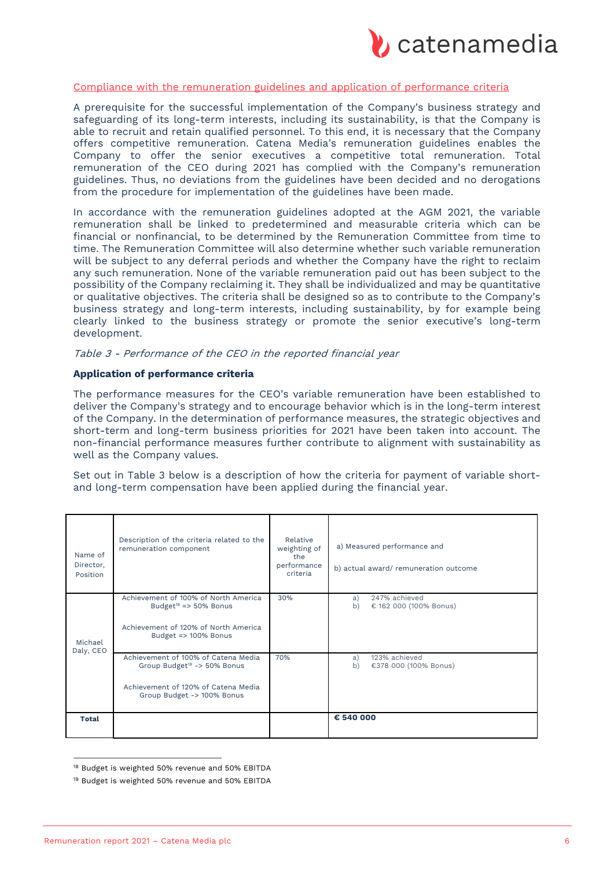

## Compliance with the remuneration guidelines and application of performance criteria

A prerequisite for the successful implementation of the Company's business strategy and safeguarding of its long-term interests, including its sustainability, is that the Company is able to recruit and retain qualified personnel. To this end, it is necessary that the Company offers competitive remuneration. Catena Media's remuneration guidelines enables the Company to offer the senior executives a competitive total remuneration. Total remuneration of the CEO during 2021 has complied with the Company's remuneration guidelines. Thus, no deviations from the guidelines have been decided and no derogations from the procedure for implementation of the guidelines have been made.

In accordance with the remuneration guidelines adopted at the AGM 2021, the variable remuneration shall be linked to predetermined and measurable criteria which can be financial or nonfinancial, to be determined by the Remuneration Committee from time to time. The Remuneration Committee will also determine whether such variable remuneration will be subject to any deferral periods and whether the Company have the right to reclaim any such remuneration. None of the variable remuneration paid out has been subject to the possibility of the Company reclaiming it. They shall be individualized and may be quantitative or qualitative objectives. The criteria shall be designed so as to contribute to the Company's business strategy and long-term interests, including sustainability, by for example being clearly linked to the business strategy or promote the senior executive's long-term development.

#### Table 3 - Performance of the CEO in the reported financial year

#### **Application of performance criteria**

The performance measures for the CEO's variable remuneration have been established to deliver the Company's strategy and to encourage behavior which is in the long-term interest of the Company. In the determination of performance measures, the strategic objectives and short-term and long-term business priorities for 2021 have been taken into account. The non-financial performance measures further contribute to alignment with sustainability as well as the Company values.

Set out in Table 3 below is a description of how the criteria for payment of variable shortand long-term compensation have been applied during the financial year.

| Name of<br>Director,<br>Position | Description of the criteria related to the<br>remuneration component           | Relative<br>weighting of<br>the<br>performance<br>criteria | a) Measured performance and<br>b) actual award/remuneration outcome |
|----------------------------------|--------------------------------------------------------------------------------|------------------------------------------------------------|---------------------------------------------------------------------|
| Michael<br>Daly, CEO             | Achievement of 100% of North America<br>Budget <sup>18</sup> => $50\%$ Bonus   | 30%                                                        | 247% achieved<br>a)<br>b)<br>€ 162 000 (100% Bonus)                 |
|                                  | Achievement of 120% of North America<br>Budget => 100% Bonus                   |                                                            |                                                                     |
|                                  | Achievement of 100% of Catena Media<br>Group Budget <sup>19</sup> -> 50% Bonus | 70%                                                        | 123% achieved<br>a)<br>b)<br>€378 000 (100% Bonus)                  |
|                                  | Achievement of 120% of Catena Media<br>Group Budget -> 100% Bonus              |                                                            |                                                                     |
| <b>Total</b>                     |                                                                                |                                                            | € 540 000                                                           |

<sup>18</sup> Budget is weighted 50% revenue and 50% EBITDA

<sup>&</sup>lt;sup>19</sup> Budget is weighted 50% revenue and 50% EBITDA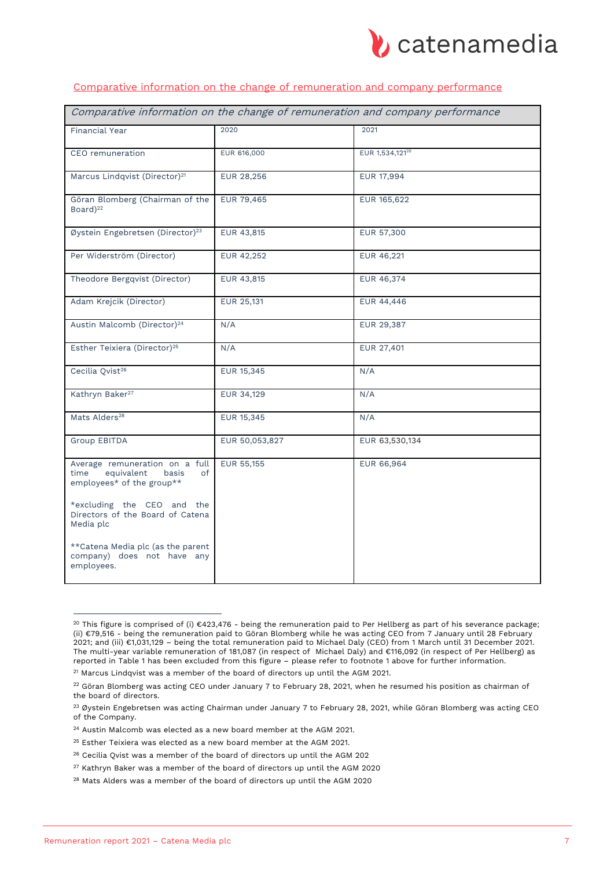

# Comparative information on the change of remuneration and company performance

| Comparative information on the change of remuneration and company performance                    |                |                 |  |  |  |  |  |
|--------------------------------------------------------------------------------------------------|----------------|-----------------|--|--|--|--|--|
| <b>Financial Year</b>                                                                            | 2020           | 2021            |  |  |  |  |  |
| CEO remuneration                                                                                 | EUR 616,000    | EUR 1,534,12120 |  |  |  |  |  |
| Marcus Lindqvist (Director) <sup>21</sup>                                                        | EUR 28,256     | EUR 17,994      |  |  |  |  |  |
| Göran Blomberg (Chairman of the<br>Board) <sup>22</sup>                                          | EUR 79,465     | EUR 165,622     |  |  |  |  |  |
| Øystein Engebretsen (Director) <sup>23</sup>                                                     | EUR 43,815     | EUR 57,300      |  |  |  |  |  |
| Per Widerström (Director)                                                                        | EUR 42,252     | EUR 46,221      |  |  |  |  |  |
| Theodore Bergqvist (Director)                                                                    | EUR 43,815     | EUR 46,374      |  |  |  |  |  |
| Adam Krejcik (Director)                                                                          | EUR 25,131     | EUR 44,446      |  |  |  |  |  |
| Austin Malcomb (Director) <sup>24</sup>                                                          | N/A            | EUR 29,387      |  |  |  |  |  |
| Esther Teixiera (Director) <sup>25</sup>                                                         | N/A            | EUR 27,401      |  |  |  |  |  |
| Cecilia Qvist <sup>26</sup>                                                                      | EUR 15,345     | N/A             |  |  |  |  |  |
| Kathryn Baker <sup>27</sup>                                                                      | EUR 34,129     | N/A             |  |  |  |  |  |
| Mats Alders <sup>28</sup>                                                                        | EUR 15,345     | N/A             |  |  |  |  |  |
| <b>Group EBITDA</b>                                                                              | EUR 50,053,827 | EUR 63,530,134  |  |  |  |  |  |
| Average remuneration on a full<br>equivalent<br>basis<br>time<br>of<br>employees* of the group** | EUR 55,155     | EUR 66,964      |  |  |  |  |  |
| *excluding the CEO and the<br>Directors of the Board of Catena<br>Media plc                      |                |                 |  |  |  |  |  |
| ** Catena Media plc (as the parent<br>company) does not have any<br>employees.                   |                |                 |  |  |  |  |  |

<sup>&</sup>lt;sup>20</sup> This figure is comprised of (i) €423,476 - being the remuneration paid to Per Hellberg as part of his severance package; (ii) €79,516 - being the remuneration paid to Göran Blomberg while he was acting CEO from 7 January until 28 February 2021; and (iii) €1,031,129 – being the total remuneration paid to Michael Daly (CEO) from 1 March until 31 December 2021. The multi-year variable remuneration of 181,087 (in respect of Michael Daly) and €116,092 (in respect of Per Hellberg) as reported in Table 1 has been excluded from this figure – please refer to footnote 1 above for further information.

<sup>21</sup> Marcus Lindqvist was a member of the board of directors up until the AGM 2021.

 $22$  Göran Blomberg was acting CEO under January 7 to February 28, 2021, when he resumed his position as chairman of the board of directors.

<sup>&</sup>lt;sup>23</sup> Øystein Engebretsen was acting Chairman under January 7 to February 28, 2021, while Göran Blomberg was acting CEO of the Company.

<sup>24</sup> Austin Malcomb was elected as a new board member at the AGM 2021.

<sup>25</sup> Esther Teixiera was elected as a new board member at the AGM 2021.

<sup>26</sup> Cecilia Qvist was a member of the board of directors up until the AGM 202

 $27$  Kathryn Baker was a member of the board of directors up until the AGM 2020

<sup>&</sup>lt;sup>28</sup> Mats Alders was a member of the board of directors up until the AGM 2020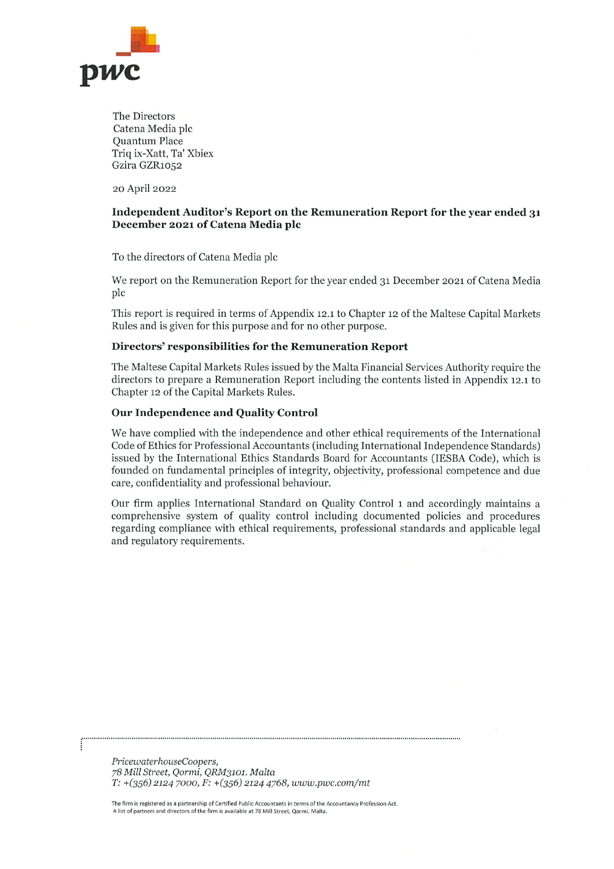

The Directors Catena Media plc Quantum Place Triq ix-Xatt, Ta' Xbiex Gzira GZR1052

20 April 2022

# Independent Auditor's Report on the Remuneration Report for the year ended 31 December 2021 of Catena Media plc

To the directors of Catena Media plc

We report on the Remuneration Report for the year ended 31 December 2021 of Catena Media plc

This report is required in terms of Appendix 12.1 to Chapter 12 of the Maltese Capital Markets Rules and is given for this purpose and for no other purpose.

#### Directors' responsibilities for the Remuneration Report

The Maltese Capital Markets Rules issued by the Malta Financial Services Authority require the directors to prepare a Remuneration Report including the contents listed in Appendix 12.1 to Chapter 12 of the Capital Markets Rules.

## **Our Independence and Quality Control**

We have complied with the independence and other ethical requirements of the International Code of Ethics for Professional Accountants (including International Independence Standards) issued by the International Ethics Standards Board for Accountants (IESBA Code), which is founded on fundamental principles of integrity, objectivity, professional competence and due care, confidentiality and professional behaviour.

Our firm applies International Standard on Quality Control 1 and accordingly maintains a comprehensive system of quality control including documented policies and procedures regarding compliance with ethical requirements, professional standards and applicable legal and regulatory requirements.

PricewaterhouseCoopers, 78 Mill Street, Qormi, QRM3101. Malta T: +(356) 2124 7000, F: +(356) 2124 4768, www.pwc.com/mt

The firm is registered as a partnership of Certified Public Accountants in terms of the Accountancy Profession Act. A list of partners and directors of the firm is available at 78 Mill Street, Qormi, Malta